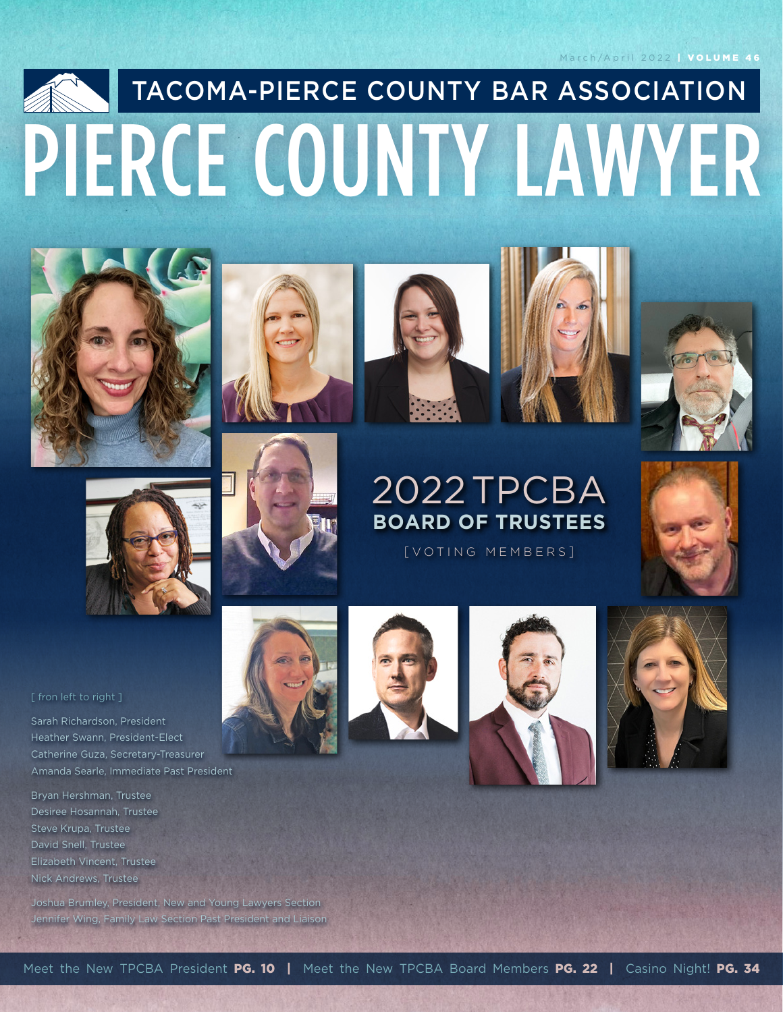#### March/April 2022 | VOLUME 46

# PIERCE COUNTY LAWYER TACOMA-PIERCE COUNTY BAR ASSOCIATION













#### [ fron left to right ]

Sarah Richardson, President Heather Swann, President-Elect Catherine Guza, Secretary-Treasurer Amanda Searle, Immediate Past President

Bryan Hershman, Trustee Desiree Hosannah, Trustee Steve Krupa, Trustee David Snell, Trustee Elizabeth Vincent, Trustee Nick Andrews, Trustee

Joshua Brumley, President, New and Young Lawyers Section Jennifer Wing, Family Law Section Past President and Liaison



[ VOTING MEMBERS ]







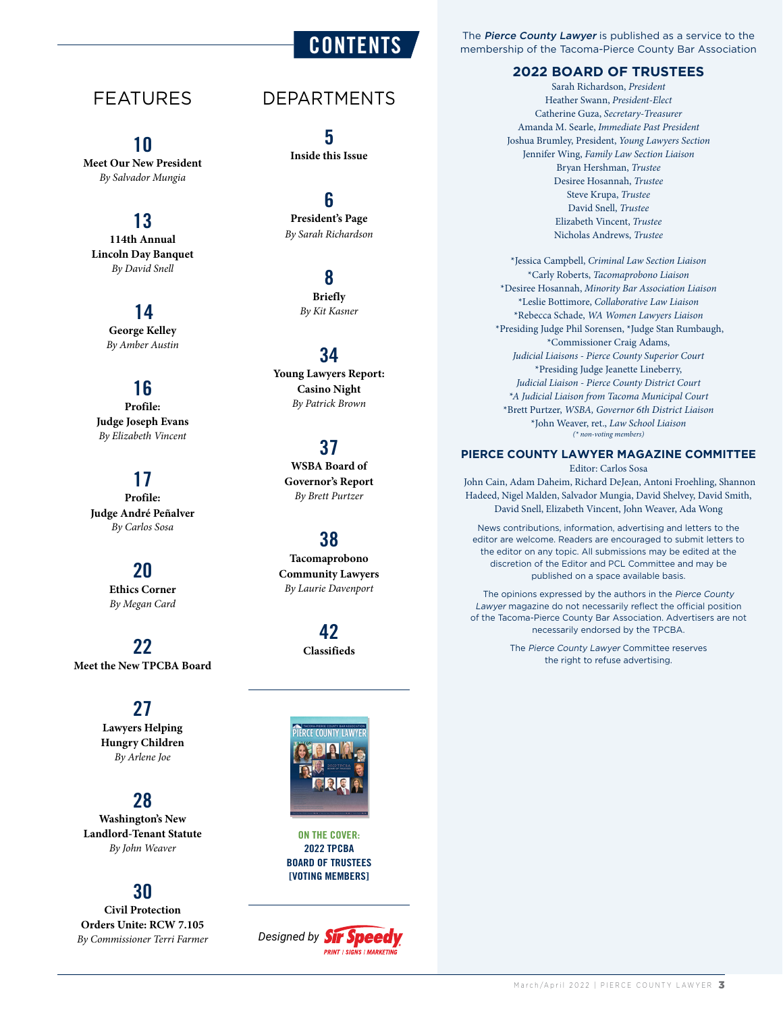## FEATURES

#### 10

**Meet Our New President** *By Salvador Mungia*

## 13

**114th Annual Lincoln Day Banquet** *By David Snell*

## 14

**George Kelley** *By Amber Austin*

### 16

**Profile: Judge Joseph Evans** *By Elizabeth Vincent*

### 17

**Profile: Judge André Peñalver** *By Carlos Sosa*

### 20

**Ethics Corner** *By Megan Card*

22 **Meet the New TPCBA Board**

## 27

**Lawyers Helping Hungry Children** *By Arlene Joe*

#### 28

**Washington's New Landlord-Tenant Statute** *By John Weaver*

### 30

**Civil Protection Orders Unite: RCW 7.105** *By Commissioner Terri Farmer*

## DEPARTMENTS

**CONTENTS** 

5 **Inside this Issue**

#### 6 **President's Page** *By Sarah Richardson*

8 **Briefly** *By Kit Kasner*

#### 34

**Young Lawyers Report: Casino Night** *By Patrick Brown*

#### 37 **WSBA Board of**

**Governor's Report** *By Brett Purtzer*

#### 38

**Tacomaprobono Community Lawyers** *By Laurie Davenport*

> 42 **Classifieds**



ON THE COVER: **2022 TPCBA BOARD OF TRUSTEES [VOTING MEMBERS]**

**Designed by Sir Speedy PRINT | SIGNS | MARKETIN** 

The Pierce County Lawyer is published as a service to the membership of the Tacoma-Pierce County Bar Association

#### **2022 BOARD OF TRUSTEES**

Sarah Richardson, *President* Heather Swann, *President-Elect* Catherine Guza, *Secretary-Treasurer* Amanda M. Searle, *Immediate Past President* Joshua Brumley, President, *Young Lawyers Section* Jennifer Wing, *Family Law Section Liaison* Bryan Hershman, *Trustee* Desiree Hosannah, *Trustee* Steve Krupa, *Trustee* David Snell, *Trustee* Elizabeth Vincent, *Trustee* Nicholas Andrews, *Trustee*

\*Jessica Campbell, *Criminal Law Section Liaison* \*Carly Roberts, *Tacomaprobono Liaison* \*Desiree Hosannah, *Minority Bar Association Liaison* \*Leslie Bottimore, *Collaborative Law Liaison* \*Rebecca Schade, *WA Women Lawyers Liaison* \*Presiding Judge Phil Sorensen, \*Judge Stan Rumbaugh, \*Commissioner Craig Adams, *Judicial Liaisons - Pierce County Superior Court* \*Presiding Judge Jeanette Lineberry, *Judicial Liaison - Pierce County District Court \*A Judicial Liaison from Tacoma Municipal Court* \*Brett Purtzer, *WSBA, Governor 6th District Liaison* \*John Weaver, ret., *Law School Liaison (\* non-voting members)*

#### **PIERCE COUNTY LAWYER MAGAZINE COMMITTEE**

Editor: Carlos Sosa John Cain, Adam Daheim, Richard DeJean, Antoni Froehling, Shannon Hadeed, Nigel Malden, Salvador Mungia, David Shelvey, David Smith, David Snell, Elizabeth Vincent, John Weaver, Ada Wong

News contributions, information, advertising and letters to the editor are welcome. Readers are encouraged to submit letters to the editor on any topic. All submissions may be edited at the discretion of the Editor and PCL Committee and may be published on a space available basis.

The opinions expressed by the authors in the Pierce County Lawyer magazine do not necessarily reflect the official position of the Tacoma-Pierce County Bar Association. Advertisers are not necessarily endorsed by the TPCBA.

> The Pierce County Lawyer Committee reserves the right to refuse advertising.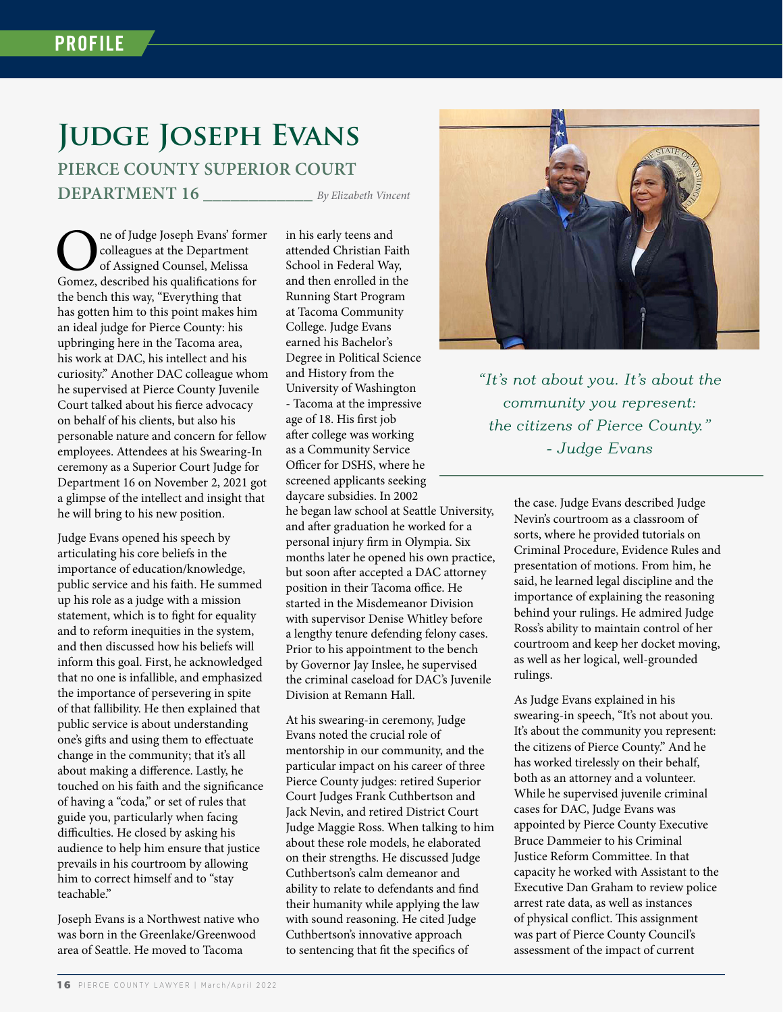## **Judge Joseph Evans PIERCE COUNTY SUPERIOR COURT DEPARTMENT 16 \_\_\_\_\_\_\_\_\_\_\_\_** *By Elizabeth Vincent*

in his early teens and

ne of Judge Joseph Evans' former colleagues at the Department of Assigned Counsel, Melissa Gomez, described his qualifications for the bench this way, "Everything that has gotten him to this point makes him an ideal judge for Pierce County: his upbringing here in the Tacoma area, his work at DAC, his intellect and his curiosity." Another DAC colleague whom he supervised at Pierce County Juvenile Court talked about his fierce advocacy on behalf of his clients, but also his personable nature and concern for fellow employees. Attendees at his Swearing-In ceremony as a Superior Court Judge for Department 16 on November 2, 2021 got a glimpse of the intellect and insight that he will bring to his new position.

Judge Evans opened his speech by articulating his core beliefs in the importance of education/knowledge, public service and his faith. He summed up his role as a judge with a mission statement, which is to fight for equality and to reform inequities in the system, and then discussed how his beliefs will inform this goal. First, he acknowledged that no one is infallible, and emphasized the importance of persevering in spite of that fallibility. He then explained that public service is about understanding one's gifts and using them to effectuate change in the community; that it's all about making a difference. Lastly, he touched on his faith and the significance of having a "coda," or set of rules that guide you, particularly when facing difficulties. He closed by asking his audience to help him ensure that justice prevails in his courtroom by allowing him to correct himself and to "stay teachable."

Joseph Evans is a Northwest native who was born in the Greenlake/Greenwood area of Seattle. He moved to Tacoma

attended Christian Faith School in Federal Way, and then enrolled in the Running Start Program at Tacoma Community College. Judge Evans earned his Bachelor's Degree in Political Science and History from the University of Washington - Tacoma at the impressive age of 18. His first job after college was working as a Community Service Officer for DSHS, where he screened applicants seeking daycare subsidies. In 2002 he began law school at Seattle University, and after graduation he worked for a personal injury firm in Olympia. Six months later he opened his own practice, but soon after accepted a DAC attorney position in their Tacoma office. He started in the Misdemeanor Division with supervisor Denise Whitley before a lengthy tenure defending felony cases. Prior to his appointment to the bench by Governor Jay Inslee, he supervised the criminal caseload for DAC's Juvenile Division at Remann Hall.

At his swearing-in ceremony, Judge Evans noted the crucial role of mentorship in our community, and the particular impact on his career of three Pierce County judges: retired Superior Court Judges Frank Cuthbertson and Jack Nevin, and retired District Court Judge Maggie Ross. When talking to him about these role models, he elaborated on their strengths. He discussed Judge Cuthbertson's calm demeanor and ability to relate to defendants and find their humanity while applying the law with sound reasoning. He cited Judge Cuthbertson's innovative approach to sentencing that fit the specifics of



*"It's not about you. It's about the community you represent: the citizens of Pierce County." - Judge Evans*

> the case. Judge Evans described Judge Nevin's courtroom as a classroom of sorts, where he provided tutorials on Criminal Procedure, Evidence Rules and presentation of motions. From him, he said, he learned legal discipline and the importance of explaining the reasoning behind your rulings. He admired Judge Ross's ability to maintain control of her courtroom and keep her docket moving, as well as her logical, well-grounded rulings.

> As Judge Evans explained in his swearing-in speech, "It's not about you. It's about the community you represent: the citizens of Pierce County." And he has worked tirelessly on their behalf, both as an attorney and a volunteer. While he supervised juvenile criminal cases for DAC, Judge Evans was appointed by Pierce County Executive Bruce Dammeier to his Criminal Justice Reform Committee. In that capacity he worked with Assistant to the Executive Dan Graham to review police arrest rate data, as well as instances of physical conflict. This assignment was part of Pierce County Council's assessment of the impact of current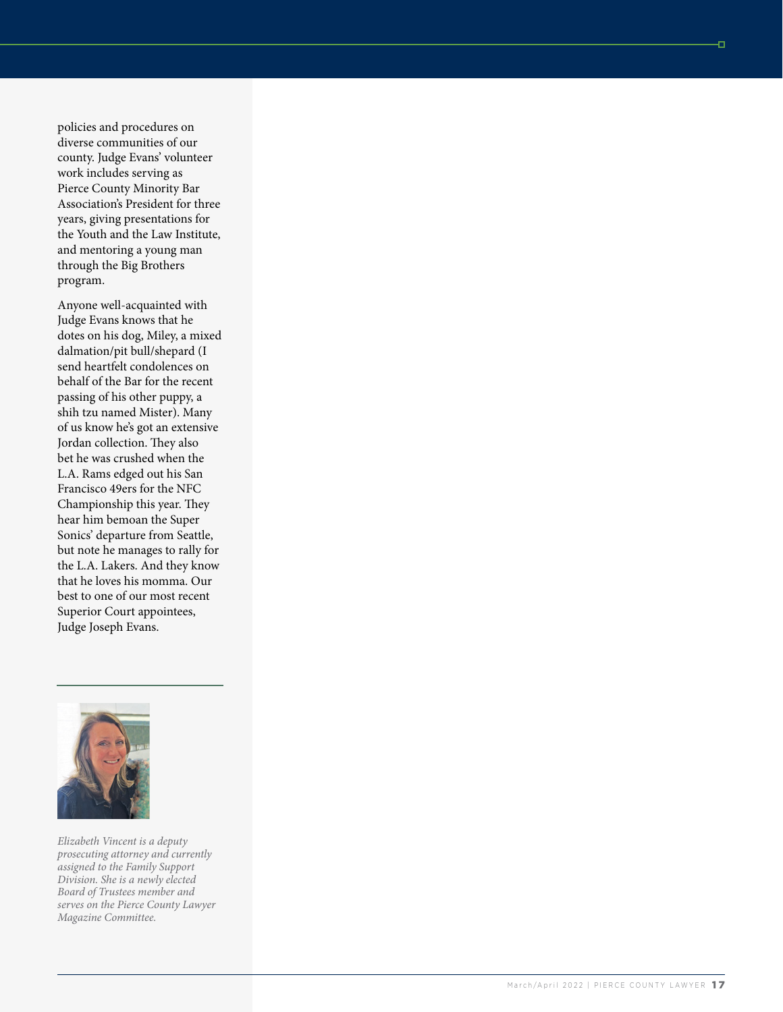policies and procedures on diverse communities of our county. Judge Evans' volunteer work includes serving as Pierce County Minority Bar Association's President for three years, giving presentations for the Youth and the Law Institute, and mentoring a young man through the Big Brothers program.

Anyone well-acquainted with Judge Evans knows that he dotes on his dog, Miley, a mixed dalmation/pit bull/shepard (I send heartfelt condolences on behalf of the Bar for the recent passing of his other puppy, a shih tzu named Mister). Many of us know he's got an extensive Jordan collection. They also bet he was crushed when the L.A. Rams edged out his San Francisco 49ers for the NFC Championship this year. They hear him bemoan the Super Sonics' departure from Seattle, but note he manages to rally for the L.A. Lakers. And they know that he loves his momma. Our best to one of our most recent Superior Court appointees, Judge Joseph Evans.



*Elizabeth Vincent is a deputy prosecuting attorney and currently assigned to the Family Support Division. She is a newly elected Board of Trustees member and serves on the Pierce County Lawyer Magazine Committee.*